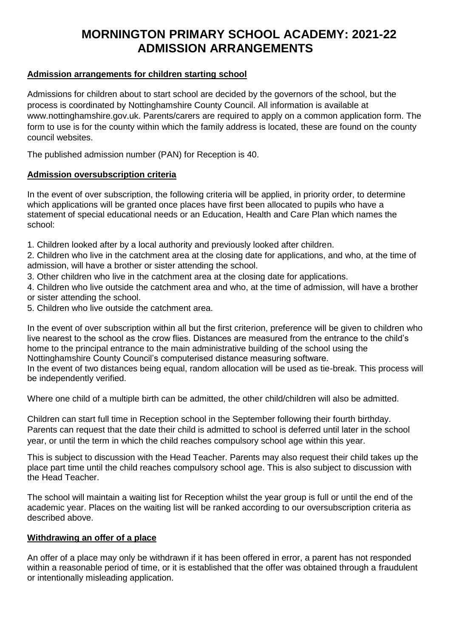# **MORNINGTON PRIMARY SCHOOL ACADEMY: 2021-22 ADMISSION ARRANGEMENTS**

#### **Admission arrangements for children starting school**

Admissions for children about to start school are decided by the governors of the school, but the process is coordinated by Nottinghamshire County Council. All information is available at www.nottinghamshire.gov.uk. Parents/carers are required to apply on a common application form. The form to use is for the county within which the family address is located, these are found on the county council websites.

The published admission number (PAN) for Reception is 40.

#### **Admission oversubscription criteria**

In the event of over subscription, the following criteria will be applied, in priority order, to determine which applications will be granted once places have first been allocated to pupils who have a statement of special educational needs or an Education, Health and Care Plan which names the school:

1. Children looked after by a local authority and previously looked after children.

2. Children who live in the catchment area at the closing date for applications, and who, at the time of admission, will have a brother or sister attending the school.

3. Other children who live in the catchment area at the closing date for applications.

4. Children who live outside the catchment area and who, at the time of admission, will have a brother or sister attending the school.

5. Children who live outside the catchment area.

In the event of over subscription within all but the first criterion, preference will be given to children who live nearest to the school as the crow flies. Distances are measured from the entrance to the child's home to the principal entrance to the main administrative building of the school using the Nottinghamshire County Council's computerised distance measuring software.

In the event of two distances being equal, random allocation will be used as tie-break. This process will be independently verified.

Where one child of a multiple birth can be admitted, the other child/children will also be admitted.

Children can start full time in Reception school in the September following their fourth birthday. Parents can request that the date their child is admitted to school is deferred until later in the school year, or until the term in which the child reaches compulsory school age within this year.

This is subject to discussion with the Head Teacher. Parents may also request their child takes up the place part time until the child reaches compulsory school age. This is also subject to discussion with the Head Teacher.

The school will maintain a waiting list for Reception whilst the year group is full or until the end of the academic year. Places on the waiting list will be ranked according to our oversubscription criteria as described above.

#### **Withdrawing an offer of a place**

An offer of a place may only be withdrawn if it has been offered in error, a parent has not responded within a reasonable period of time, or it is established that the offer was obtained through a fraudulent or intentionally misleading application.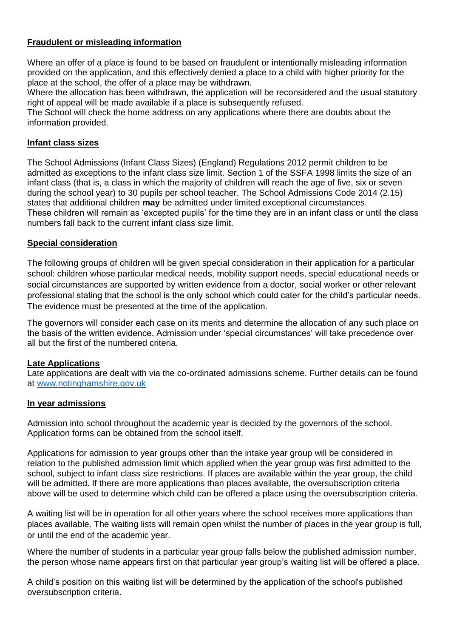## **Fraudulent or misleading information**

Where an offer of a place is found to be based on fraudulent or intentionally misleading information provided on the application, and this effectively denied a place to a child with higher priority for the place at the school, the offer of a place may be withdrawn.

Where the allocation has been withdrawn, the application will be reconsidered and the usual statutory right of appeal will be made available if a place is subsequently refused.

The School will check the home address on any applications where there are doubts about the information provided.

#### **Infant class sizes**

The School Admissions (Infant Class Sizes) (England) Regulations 2012 permit children to be admitted as exceptions to the infant class size limit. Section 1 of the SSFA 1998 limits the size of an infant class (that is, a class in which the majority of children will reach the age of five, six or seven during the school year) to 30 pupils per school teacher. The School Admissions Code 2014 (2.15) states that additional children **may** be admitted under limited exceptional circumstances. These children will remain as 'excepted pupils' for the time they are in an infant class or until the class numbers fall back to the current infant class size limit.

#### **Special consideration**

The following groups of children will be given special consideration in their application for a particular school: children whose particular medical needs, mobility support needs, special educational needs or social circumstances are supported by written evidence from a doctor, social worker or other relevant professional stating that the school is the only school which could cater for the child's particular needs. The evidence must be presented at the time of the application.

The governors will consider each case on its merits and determine the allocation of any such place on the basis of the written evidence. Admission under 'special circumstances' will take precedence over all but the first of the numbered criteria.

#### **Late Applications**

Late applications are dealt with via the co-ordinated admissions scheme. Further details can be found at [www.notinghamshire.gov.uk](http://www.notinghamshire.gov.uk/)

#### **In year admissions**

Admission into school throughout the academic year is decided by the governors of the school. Application forms can be obtained from the school itself.

Applications for admission to year groups other than the intake year group will be considered in relation to the published admission limit which applied when the year group was first admitted to the school, subject to infant class size restrictions. If places are available within the year group, the child will be admitted. If there are more applications than places available, the oversubscription criteria above will be used to determine which child can be offered a place using the oversubscription criteria.

A waiting list will be in operation for all other years where the school receives more applications than places available. The waiting lists will remain open whilst the number of places in the year group is full, or until the end of the academic year.

Where the number of students in a particular year group falls below the published admission number, the person whose name appears first on that particular year group's waiting list will be offered a place.

A child's position on this waiting list will be determined by the application of the school's published oversubscription criteria.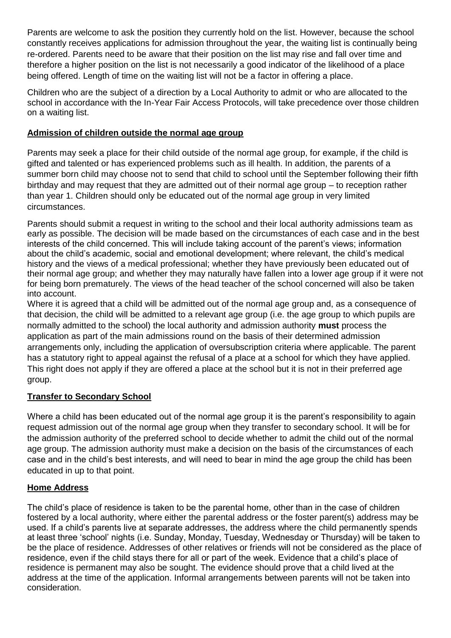Parents are welcome to ask the position they currently hold on the list. However, because the school constantly receives applications for admission throughout the year, the waiting list is continually being re-ordered. Parents need to be aware that their position on the list may rise and fall over time and therefore a higher position on the list is not necessarily a good indicator of the likelihood of a place being offered. Length of time on the waiting list will not be a factor in offering a place.

Children who are the subject of a direction by a Local Authority to admit or who are allocated to the school in accordance with the In-Year Fair Access Protocols, will take precedence over those children on a waiting list.

### **Admission of children outside the normal age group**

Parents may seek a place for their child outside of the normal age group, for example, if the child is gifted and talented or has experienced problems such as ill health. In addition, the parents of a summer born child may choose not to send that child to school until the September following their fifth birthday and may request that they are admitted out of their normal age group – to reception rather than year 1. Children should only be educated out of the normal age group in very limited circumstances.

Parents should submit a request in writing to the school and their local authority admissions team as early as possible. The decision will be made based on the circumstances of each case and in the best interests of the child concerned. This will include taking account of the parent's views; information about the child's academic, social and emotional development; where relevant, the child's medical history and the views of a medical professional; whether they have previously been educated out of their normal age group; and whether they may naturally have fallen into a lower age group if it were not for being born prematurely. The views of the head teacher of the school concerned will also be taken into account.

Where it is agreed that a child will be admitted out of the normal age group and, as a consequence of that decision, the child will be admitted to a relevant age group (i.e. the age group to which pupils are normally admitted to the school) the local authority and admission authority **must** process the application as part of the main admissions round on the basis of their determined admission arrangements only, including the application of oversubscription criteria where applicable. The parent has a statutory right to appeal against the refusal of a place at a school for which they have applied. This right does not apply if they are offered a place at the school but it is not in their preferred age group.

# **Transfer to Secondary School**

Where a child has been educated out of the normal age group it is the parent's responsibility to again request admission out of the normal age group when they transfer to secondary school. It will be for the admission authority of the preferred school to decide whether to admit the child out of the normal age group. The admission authority must make a decision on the basis of the circumstances of each case and in the child's best interests, and will need to bear in mind the age group the child has been educated in up to that point.

#### **Home Address**

The child's place of residence is taken to be the parental home, other than in the case of children fostered by a local authority, where either the parental address or the foster parent(s) address may be used. If a child's parents live at separate addresses, the address where the child permanently spends at least three 'school' nights (i.e. Sunday, Monday, Tuesday, Wednesday or Thursday) will be taken to be the place of residence. Addresses of other relatives or friends will not be considered as the place of residence, even if the child stays there for all or part of the week. Evidence that a child's place of residence is permanent may also be sought. The evidence should prove that a child lived at the address at the time of the application. Informal arrangements between parents will not be taken into consideration.